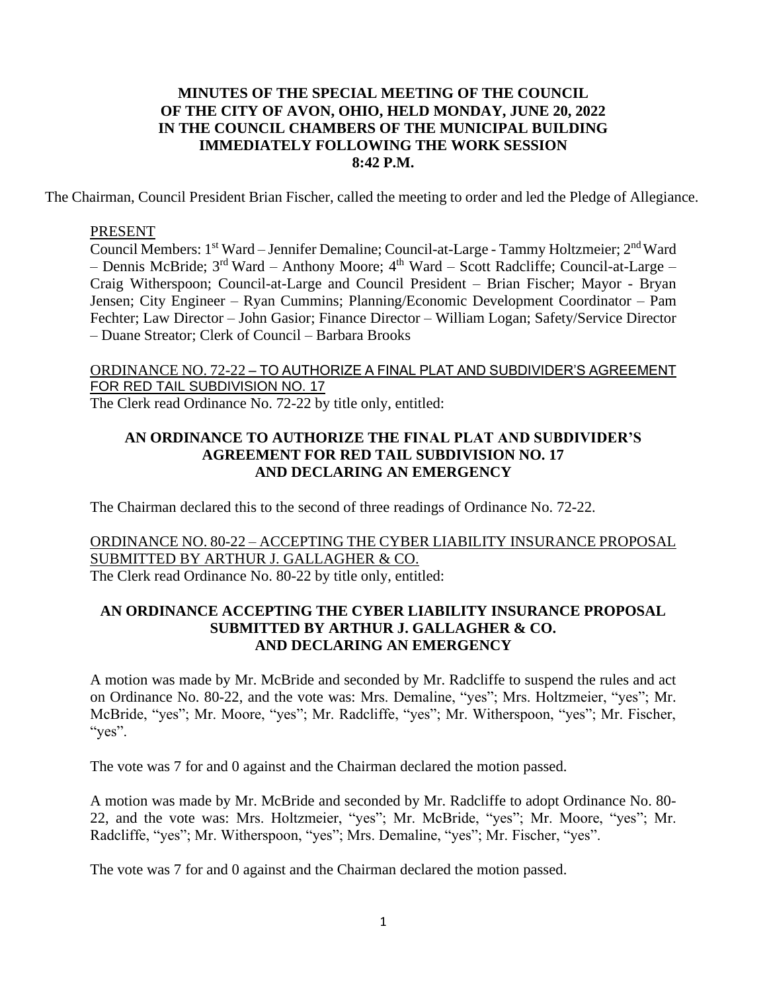#### **MINUTES OF THE SPECIAL MEETING OF THE COUNCIL OF THE CITY OF AVON, OHIO, HELD MONDAY, JUNE 20, 2022 IN THE COUNCIL CHAMBERS OF THE MUNICIPAL BUILDING IMMEDIATELY FOLLOWING THE WORK SESSION 8:42 P.M.**

The Chairman, Council President Brian Fischer, called the meeting to order and led the Pledge of Allegiance.

#### PRESENT

Council Members: 1<sup>st</sup> Ward – Jennifer Demaline; Council-at-Large - Tammy Holtzmeier; 2<sup>nd</sup> Ward – Dennis McBride; 3<sup>rd</sup> Ward – Anthony Moore; 4<sup>th</sup> Ward – Scott Radcliffe; Council-at-Large – Craig Witherspoon; Council-at-Large and Council President – Brian Fischer; Mayor - Bryan Jensen; City Engineer – Ryan Cummins; Planning/Economic Development Coordinator – Pam Fechter; Law Director – John Gasior; Finance Director – William Logan; Safety/Service Director – Duane Streator; Clerk of Council – Barbara Brooks

# ORDINANCE NO. 72-22 – TO AUTHORIZE A FINAL PLAT AND SUBDIVIDER'S AGREEMENT FOR RED TAIL SUBDIVISION NO. 17

The Clerk read Ordinance No. 72-22 by title only, entitled:

#### **AN ORDINANCE TO AUTHORIZE THE FINAL PLAT AND SUBDIVIDER'S AGREEMENT FOR RED TAIL SUBDIVISION NO. 17 AND DECLARING AN EMERGENCY**

The Chairman declared this to the second of three readings of Ordinance No. 72-22.

### ORDINANCE NO. 80-22 – ACCEPTING THE CYBER LIABILITY INSURANCE PROPOSAL SUBMITTED BY ARTHUR J. GALLAGHER & CO. The Clerk read Ordinance No. 80-22 by title only, entitled:

#### **AN ORDINANCE ACCEPTING THE CYBER LIABILITY INSURANCE PROPOSAL SUBMITTED BY ARTHUR J. GALLAGHER & CO. AND DECLARING AN EMERGENCY**

A motion was made by Mr. McBride and seconded by Mr. Radcliffe to suspend the rules and act on Ordinance No. 80-22, and the vote was: Mrs. Demaline, "yes"; Mrs. Holtzmeier, "yes"; Mr. McBride, "yes"; Mr. Moore, "yes"; Mr. Radcliffe, "yes"; Mr. Witherspoon, "yes"; Mr. Fischer, "yes".

The vote was 7 for and 0 against and the Chairman declared the motion passed.

A motion was made by Mr. McBride and seconded by Mr. Radcliffe to adopt Ordinance No. 80- 22, and the vote was: Mrs. Holtzmeier, "yes"; Mr. McBride, "yes"; Mr. Moore, "yes"; Mr. Radcliffe, "yes"; Mr. Witherspoon, "yes"; Mrs. Demaline, "yes"; Mr. Fischer, "yes".

The vote was 7 for and 0 against and the Chairman declared the motion passed.